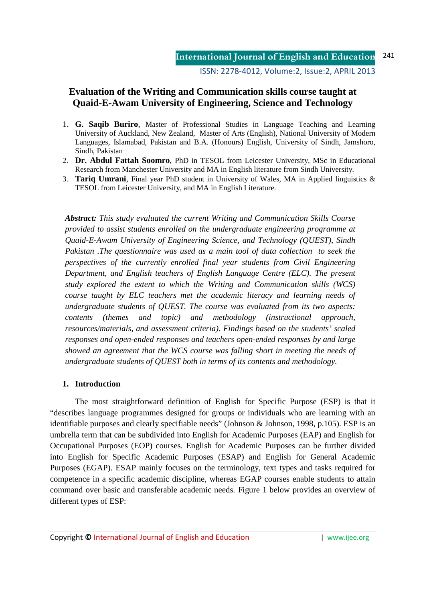ISSN: 2278-4012, Volume:2, Issue:2, APRIL 2013

# **Evaluation of the Writing and Communication skills course taught at Quaid-E-Awam University of Engineering, Science and Technology**

- 1. **G. Saqib Buriro**, Master of Professional Studies in Language Teaching and Learning University of Auckland, New Zealand, Master of Arts (English), National University of Modern Languages, Islamabad, Pakistan and B.A. (Honours) English, University of Sindh, Jamshoro, Sindh, Pakistan
- 2. **Dr. Abdul Fattah Soomro**, PhD in TESOL from Leicester University, MSc in Educational Research from Manchester University and MA in English literature from Sindh University.
- 3. **Tariq Umrani**, Final year PhD student in University of Wales, MA in Applied linguistics & TESOL from Leicester University, and MA in English Literature.

*Abstract: This study evaluated the current Writing and Communication Skills Course provided to assist students enrolled on the undergraduate engineering programme at Quaid-E-Awam University of Engineering Science, and Technology (QUEST), Sindh Pakistan .The questionnaire was used as a main tool of data collection to seek the perspectives of the currently enrolled final year students from Civil Engineering Department, and English teachers of English Language Centre (ELC). The present study explored the extent to which the Writing and Communication skills (WCS) course taught by ELC teachers met the academic literacy and learning needs of undergraduate students of QUEST. The course was evaluated from its two aspects: contents (themes and topic) and methodology (instructional approach, resources/materials, and assessment criteria). Findings based on the students' scaled responses and open-ended responses and teachers open-ended responses by and large showed an agreement that the WCS course was falling short in meeting the needs of undergraduate students of QUEST both in terms of its contents and methodology.* 

### **1. Introduction**

The most straightforward definition of English for Specific Purpose (ESP) is that it "describes language programmes designed for groups or individuals who are learning with an identifiable purposes and clearly specifiable needs" (Johnson & Johnson, 1998, p.105). ESP is an umbrella term that can be subdivided into English for Academic Purposes (EAP) and English for Occupational Purposes (EOP) courses. English for Academic Purposes can be further divided into English for Specific Academic Purposes (ESAP) and English for General Academic Purposes (EGAP). ESAP mainly focuses on the terminology, text types and tasks required for competence in a specific academic discipline, whereas EGAP courses enable students to attain command over basic and transferable academic needs. Figure 1 below provides an overview of different types of ESP: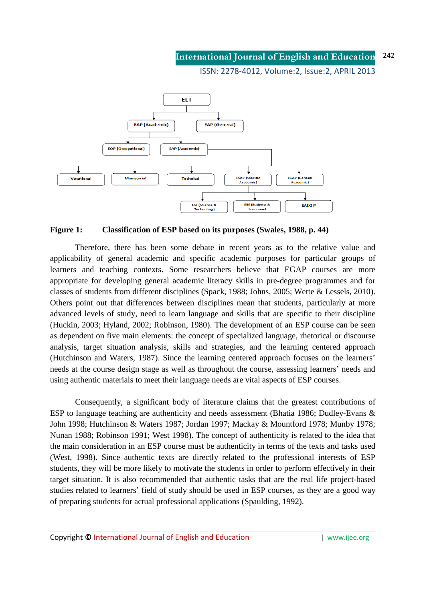#### **International Journal of English and Education** 242

ISSN: 2278-4012, Volume:2, Issue:2, APRIL 2013



### **Figure 1: Classification of ESP based on its purposes (Swales, 1988, p. 44)**

Therefore, there has been some debate in recent years as to the relative value and applicability of general academic and specific academic purposes for particular groups of learners and teaching contexts. Some researchers believe that EGAP courses are more appropriate for developing general academic literacy skills in pre-degree programmes and for classes of students from different disciplines (Spack, 1988; Johns, 2005; Wette & Lessels, 2010). Others point out that differences between disciplines mean that students, particularly at more advanced levels of study, need to learn language and skills that are specific to their discipline (Huckin, 2003; Hyland, 2002; Robinson, 1980). The development of an ESP course can be seen as dependent on five main elements: the concept of specialized language, rhetorical or discourse analysis, target situation analysis, skills and strategies, and the learning centered approach (Hutchinson and Waters, 1987). Since the learning centered approach focuses on the learners' needs at the course design stage as well as throughout the course, assessing learners' needs and using authentic materials to meet their language needs are vital aspects of ESP courses.

Consequently, a significant body of literature claims that the greatest contributions of ESP to language teaching are authenticity and needs assessment (Bhatia 1986; Dudley-Evans & John 1998; Hutchinson & Waters 1987; Jordan 1997; Mackay & Mountford 1978; Munby 1978; Nunan 1988; Robinson 1991; West 1998). The concept of authenticity is related to the idea that the main consideration in an ESP course must be authenticity in terms of the texts and tasks used (West, 1998). Since authentic texts are directly related to the professional interests of ESP students, they will be more likely to motivate the students in order to perform effectively in their target situation. It is also recommended that authentic tasks that are the real life project-based studies related to learners' field of study should be used in ESP courses, as they are a good way of preparing students for actual professional applications (Spaulding, 1992).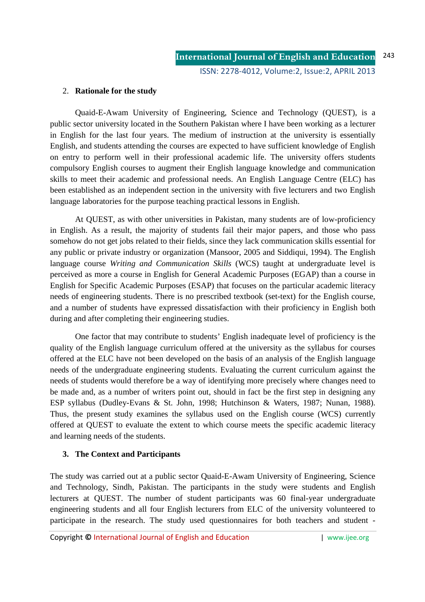### 2. **Rationale for the study**

Quaid-E-Awam University of Engineering, Science and Technology (QUEST), is a public sector university located in the Southern Pakistan where I have been working as a lecturer in English for the last four years. The medium of instruction at the university is essentially English, and students attending the courses are expected to have sufficient knowledge of English on entry to perform well in their professional academic life. The university offers students compulsory English courses to augment their English language knowledge and communication skills to meet their academic and professional needs. An English Language Centre (ELC) has been established as an independent section in the university with five lecturers and two English language laboratories for the purpose teaching practical lessons in English.

At QUEST, as with other universities in Pakistan, many students are of low-proficiency in English. As a result, the majority of students fail their major papers, and those who pass somehow do not get jobs related to their fields, since they lack communication skills essential for any public or private industry or organization (Mansoor, 2005 and Siddiqui, 1994). The English language course *Writing and Communication Skills* (WCS) taught at undergraduate level is perceived as more a course in English for General Academic Purposes (EGAP) than a course in English for Specific Academic Purposes (ESAP) that focuses on the particular academic literacy needs of engineering students. There is no prescribed textbook (set-text) for the English course, and a number of students have expressed dissatisfaction with their proficiency in English both during and after completing their engineering studies.

One factor that may contribute to students' English inadequate level of proficiency is the quality of the English language curriculum offered at the university as the syllabus for courses offered at the ELC have not been developed on the basis of an analysis of the English language needs of the undergraduate engineering students. Evaluating the current curriculum against the needs of students would therefore be a way of identifying more precisely where changes need to be made and, as a number of writers point out, should in fact be the first step in designing any ESP syllabus (Dudley-Evans & St. John, 1998; Hutchinson & Waters, 1987; Nunan, 1988). Thus, the present study examines the syllabus used on the English course (WCS) currently offered at QUEST to evaluate the extent to which course meets the specific academic literacy and learning needs of the students.

## **3. The Context and Participants**

The study was carried out at a public sector Quaid-E-Awam University of Engineering, Science and Technology, Sindh, Pakistan. The participants in the study were students and English lecturers at QUEST. The number of student participants was 60 final-year undergraduate engineering students and all four English lecturers from ELC of the university volunteered to participate in the research. The study used questionnaires for both teachers and student -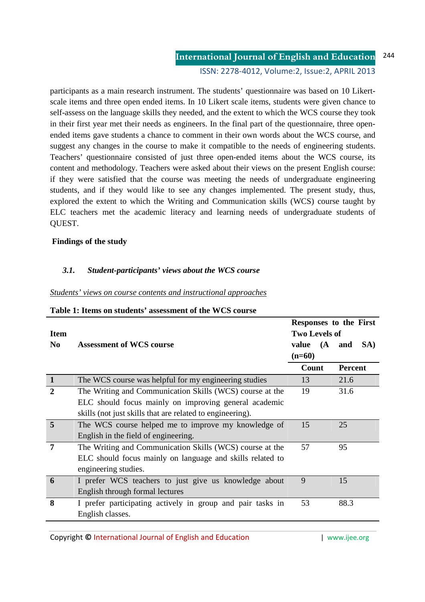#### **International Journal of English and Education** ISSN: 2278-4012, Volume:2, Issue:2, APRIL 2013 244

participants as a main research instrument. The students' questionnaire was based on 10 Likertscale items and three open ended items. In 10 Likert scale items, students were given chance to self-assess on the language skills they needed, and the extent to which the WCS course they took in their first year met their needs as engineers. In the final part of the questionnaire, three openended items gave students a chance to comment in their own words about the WCS course, and suggest any changes in the course to make it compatible to the needs of engineering students. Teachers' questionnaire consisted of just three open-ended items about the WCS course, its content and methodology. Teachers were asked about their views on the present English course: if they were satisfied that the course was meeting the needs of undergraduate engineering students, and if they would like to see any changes implemented. The present study, thus, explored the extent to which the Writing and Communication skills (WCS) course taught by ELC teachers met the academic literacy and learning needs of undergraduate students of QUEST.

## **Findings of the study**

## *3.1. Student-participants' views about the WCS course*

### *Students' views on course contents and instructional approaches*

| <b>Item</b>    |                                                            | Responses to the First<br><b>Two Levels of</b> |  |                |     |  |
|----------------|------------------------------------------------------------|------------------------------------------------|--|----------------|-----|--|
| N <sub>0</sub> | <b>Assessment of WCS course</b>                            | value (A<br>$(n=60)$                           |  | and            | SA) |  |
|                |                                                            | Count                                          |  | <b>Percent</b> |     |  |
| $\mathbf{1}$   | The WCS course was helpful for my engineering studies      | 13                                             |  | 21.6           |     |  |
| $\overline{2}$ | The Writing and Communication Skills (WCS) course at the   | 19                                             |  | 31.6           |     |  |
|                | ELC should focus mainly on improving general academic      |                                                |  |                |     |  |
|                | skills (not just skills that are related to engineering).  |                                                |  |                |     |  |
| 5              | The WCS course helped me to improve my knowledge of        | 15                                             |  | 25             |     |  |
|                | English in the field of engineering.                       |                                                |  |                |     |  |
| 7              | The Writing and Communication Skills (WCS) course at the   | 57                                             |  | 95             |     |  |
|                | ELC should focus mainly on language and skills related to  |                                                |  |                |     |  |
|                | engineering studies.                                       |                                                |  |                |     |  |
| 6              | I prefer WCS teachers to just give us knowledge about      | 9                                              |  | 15             |     |  |
|                | English through formal lectures                            |                                                |  |                |     |  |
| 8              | I prefer participating actively in group and pair tasks in | 53                                             |  | 88.3           |     |  |
|                | English classes.                                           |                                                |  |                |     |  |

### **Table 1: Items on students' assessment of the WCS course**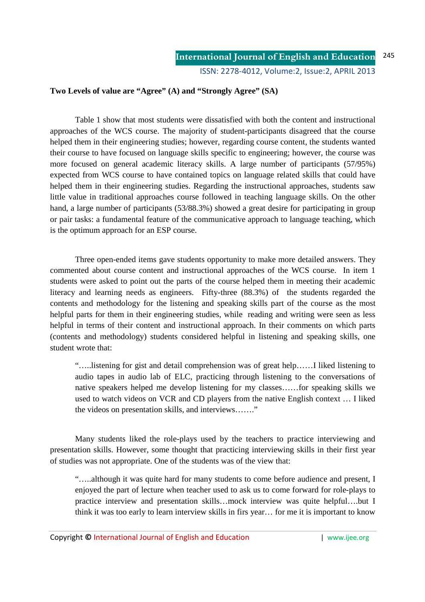## **Two Levels of value are "Agree" (A) and "Strongly Agree" (SA)**

Table 1 show that most students were dissatisfied with both the content and instructional approaches of the WCS course. The majority of student-participants disagreed that the course helped them in their engineering studies; however, regarding course content, the students wanted their course to have focused on language skills specific to engineering; however, the course was more focused on general academic literacy skills. A large number of participants (57/95%) expected from WCS course to have contained topics on language related skills that could have helped them in their engineering studies. Regarding the instructional approaches, students saw little value in traditional approaches course followed in teaching language skills. On the other hand, a large number of participants (53/88.3%) showed a great desire for participating in group or pair tasks: a fundamental feature of the communicative approach to language teaching, which is the optimum approach for an ESP course.

Three open-ended items gave students opportunity to make more detailed answers. They commented about course content and instructional approaches of the WCS course. In item 1 students were asked to point out the parts of the course helped them in meeting their academic literacy and learning needs as engineers. Fifty-three (88.3%) of the students regarded the contents and methodology for the listening and speaking skills part of the course as the most helpful parts for them in their engineering studies, while reading and writing were seen as less helpful in terms of their content and instructional approach. In their comments on which parts (contents and methodology) students considered helpful in listening and speaking skills, one student wrote that:

"…..listening for gist and detail comprehension was of great help……I liked listening to audio tapes in audio lab of ELC, practicing through listening to the conversations of native speakers helped me develop listening for my classes……for speaking skills we used to watch videos on VCR and CD players from the native English context … I liked the videos on presentation skills, and interviews……."

Many students liked the role-plays used by the teachers to practice interviewing and presentation skills. However, some thought that practicing interviewing skills in their first year of studies was not appropriate. One of the students was of the view that:

"…..although it was quite hard for many students to come before audience and present, I enjoyed the part of lecture when teacher used to ask us to come forward for role-plays to practice interview and presentation skills…mock interview was quite helpful….but I think it was too early to learn interview skills in firs year… for me it is important to know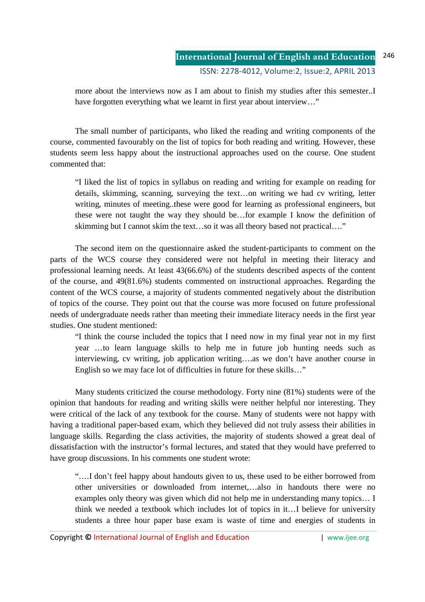more about the interviews now as I am about to finish my studies after this semester..I have forgotten everything what we learnt in first year about interview..."

The small number of participants, who liked the reading and writing components of the course, commented favourably on the list of topics for both reading and writing. However, these students seem less happy about the instructional approaches used on the course. One student commented that:

"I liked the list of topics in syllabus on reading and writing for example on reading for details, skimming, scanning, surveying the text…on writing we had cv writing, letter writing, minutes of meeting..these were good for learning as professional engineers, but these were not taught the way they should be…for example I know the definition of skimming but I cannot skim the text…so it was all theory based not practical…."

The second item on the questionnaire asked the student-participants to comment on the parts of the WCS course they considered were not helpful in meeting their literacy and professional learning needs. At least 43(66.6%) of the students described aspects of the content of the course, and 49(81.6%) students commented on instructional approaches. Regarding the content of the WCS course, a majority of students commented negatively about the distribution of topics of the course. They point out that the course was more focused on future professional needs of undergraduate needs rather than meeting their immediate literacy needs in the first year studies. One student mentioned:

"I think the course included the topics that I need now in my final year not in my first year …to learn language skills to help me in future job hunting needs such as interviewing, cv writing, job application writing….as we don't have another course in English so we may face lot of difficulties in future for these skills…"

Many students criticized the course methodology. Forty nine (81%) students were of the opinion that handouts for reading and writing skills were neither helpful nor interesting. They were critical of the lack of any textbook for the course. Many of students were not happy with having a traditional paper-based exam, which they believed did not truly assess their abilities in language skills. Regarding the class activities, the majority of students showed a great deal of dissatisfaction with the instructor's formal lectures, and stated that they would have preferred to have group discussions. In his comments one student wrote:

"….I don't feel happy about handouts given to us, these used to be either borrowed from other universities or downloaded from internet,…also in handouts there were no examples only theory was given which did not help me in understanding many topics… I think we needed a textbook which includes lot of topics in it…I believe for university students a three hour paper base exam is waste of time and energies of students in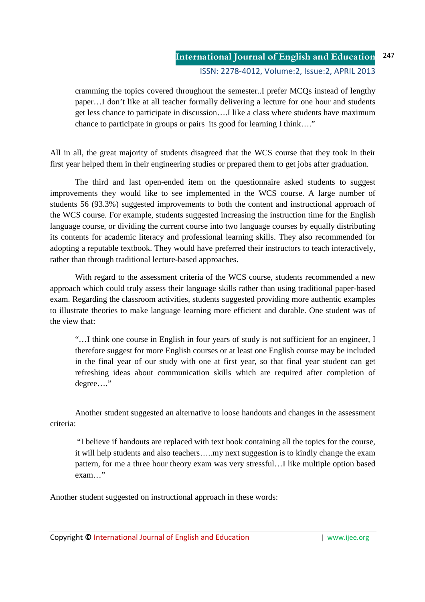cramming the topics covered throughout the semester..I prefer MCQs instead of lengthy paper…I don't like at all teacher formally delivering a lecture for one hour and students get less chance to participate in discussion….I like a class where students have maximum chance to participate in groups or pairs its good for learning I think…."

All in all, the great majority of students disagreed that the WCS course that they took in their first year helped them in their engineering studies or prepared them to get jobs after graduation.

The third and last open-ended item on the questionnaire asked students to suggest improvements they would like to see implemented in the WCS course. A large number of students 56 (93.3%) suggested improvements to both the content and instructional approach of the WCS course. For example, students suggested increasing the instruction time for the English language course, or dividing the current course into two language courses by equally distributing its contents for academic literacy and professional learning skills. They also recommended for adopting a reputable textbook. They would have preferred their instructors to teach interactively, rather than through traditional lecture-based approaches.

With regard to the assessment criteria of the WCS course, students recommended a new approach which could truly assess their language skills rather than using traditional paper-based exam. Regarding the classroom activities, students suggested providing more authentic examples to illustrate theories to make language learning more efficient and durable. One student was of the view that:

"…I think one course in English in four years of study is not sufficient for an engineer, I therefore suggest for more English courses or at least one English course may be included in the final year of our study with one at first year, so that final year student can get refreshing ideas about communication skills which are required after completion of degree…."

Another student suggested an alternative to loose handouts and changes in the assessment criteria:

 "I believe if handouts are replaced with text book containing all the topics for the course, it will help students and also teachers…..my next suggestion is to kindly change the exam pattern, for me a three hour theory exam was very stressful…I like multiple option based exam…"

Another student suggested on instructional approach in these words: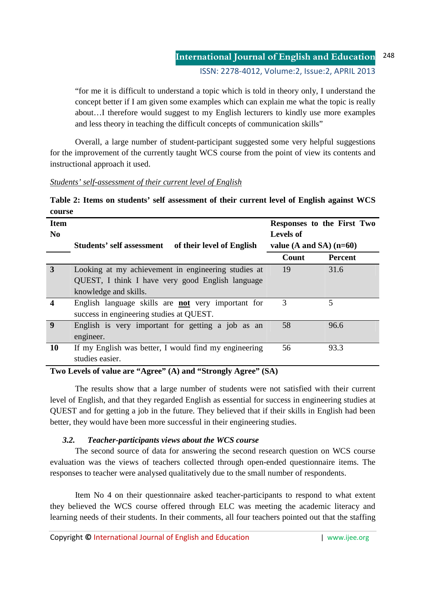"for me it is difficult to understand a topic which is told in theory only, I understand the concept better if I am given some examples which can explain me what the topic is really about…I therefore would suggest to my English lecturers to kindly use more examples and less theory in teaching the difficult concepts of communication skills"

Overall, a large number of student-participant suggested some very helpful suggestions for the improvement of the currently taught WCS course from the point of view its contents and instructional approach it used.

## *Students' self-assessment of their current level of English*

|        |  |  | Table 2: Items on students' self assessment of their current level of English against WCS |  |  |  |  |
|--------|--|--|-------------------------------------------------------------------------------------------|--|--|--|--|
| course |  |  |                                                                                           |  |  |  |  |

| <b>Item</b><br>N <sub>0</sub> |                                                               | <b>Levels of</b>          | Responses to the First Two |  |  |  |
|-------------------------------|---------------------------------------------------------------|---------------------------|----------------------------|--|--|--|
|                               | <b>Students' self assessment</b><br>of their level of English | value (A and SA) $(n=60)$ |                            |  |  |  |
|                               |                                                               | Count                     | <b>Percent</b>             |  |  |  |
| 3                             | Looking at my achievement in engineering studies at           | 19                        | 31.6                       |  |  |  |
|                               | QUEST, I think I have very good English language              |                           |                            |  |  |  |
|                               | knowledge and skills.                                         |                           |                            |  |  |  |
| 4                             | English language skills are not very important for            | 3                         | 5                          |  |  |  |
|                               | success in engineering studies at QUEST.                      |                           |                            |  |  |  |
| $\boldsymbol{9}$              | English is very important for getting a job as an             | 58                        | 96.6                       |  |  |  |
|                               | engineer.                                                     |                           |                            |  |  |  |
| 10                            | If my English was better, I would find my engineering         | 56                        | 93.3                       |  |  |  |
|                               | studies easier.                                               |                           |                            |  |  |  |

## **Two Levels of value are "Agree" (A) and "Strongly Agree" (SA)**

The results show that a large number of students were not satisfied with their current level of English, and that they regarded English as essential for success in engineering studies at QUEST and for getting a job in the future. They believed that if their skills in English had been better, they would have been more successful in their engineering studies.

# *3.2. Teacher-participants views about the WCS course*

The second source of data for answering the second research question on WCS course evaluation was the views of teachers collected through open-ended questionnaire items. The responses to teacher were analysed qualitatively due to the small number of respondents.

Item No 4 on their questionnaire asked teacher-participants to respond to what extent they believed the WCS course offered through ELC was meeting the academic literacy and learning needs of their students. In their comments, all four teachers pointed out that the staffing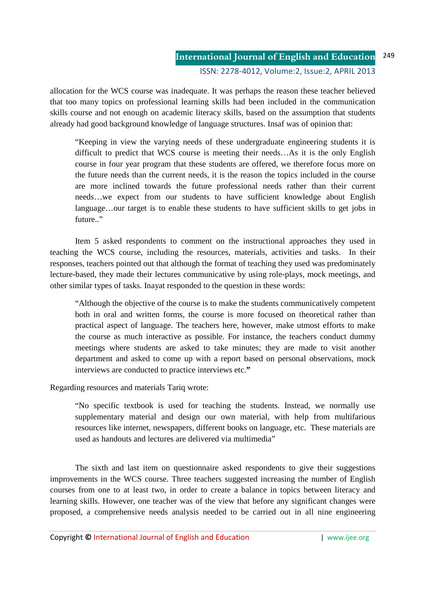allocation for the WCS course was inadequate. It was perhaps the reason these teacher believed that too many topics on professional learning skills had been included in the communication skills course and not enough on academic literacy skills, based on the assumption that students already had good background knowledge of language structures. Insaf was of opinion that:

"Keeping in view the varying needs of these undergraduate engineering students it is difficult to predict that WCS course is meeting their needs…As it is the only English course in four year program that these students are offered, we therefore focus more on the future needs than the current needs, it is the reason the topics included in the course are more inclined towards the future professional needs rather than their current needs…we expect from our students to have sufficient knowledge about English language…our target is to enable these students to have sufficient skills to get jobs in future.."

Item 5 asked respondents to comment on the instructional approaches they used in teaching the WCS course, including the resources, materials, activities and tasks. In their responses, teachers pointed out that although the format of teaching they used was predominately lecture-based, they made their lectures communicative by using role-plays, mock meetings, and other similar types of tasks. Inayat responded to the question in these words:

"Although the objective of the course is to make the students communicatively competent both in oral and written forms, the course is more focused on theoretical rather than practical aspect of language. The teachers here, however, make utmost efforts to make the course as much interactive as possible. For instance, the teachers conduct dummy meetings where students are asked to take minutes; they are made to visit another department and asked to come up with a report based on personal observations, mock interviews are conducted to practice interviews etc.**"** 

Regarding resources and materials Tariq wrote:

"No specific textbook is used for teaching the students. Instead, we normally use supplementary material and design our own material, with help from multifarious resources like internet, newspapers, different books on language, etc. These materials are used as handouts and lectures are delivered via multimedia"

The sixth and last item on questionnaire asked respondents to give their suggestions improvements in the WCS course. Three teachers suggested increasing the number of English courses from one to at least two, in order to create a balance in topics between literacy and learning skills. However, one teacher was of the view that before any significant changes were proposed, a comprehensive needs analysis needed to be carried out in all nine engineering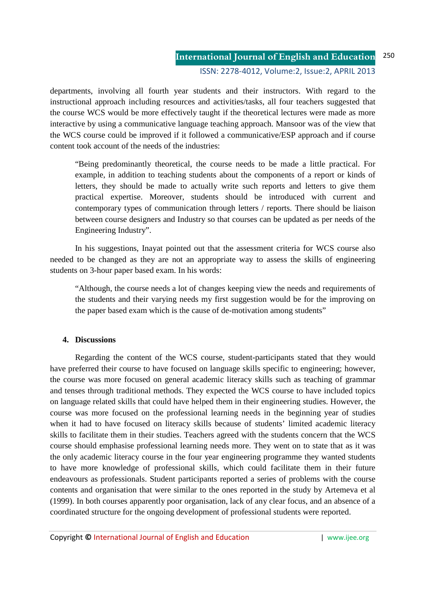#### **International Journal of English and Education** ISSN: 2278-4012, Volume:2, Issue:2, APRIL 2013 250

departments, involving all fourth year students and their instructors. With regard to the instructional approach including resources and activities/tasks, all four teachers suggested that the course WCS would be more effectively taught if the theoretical lectures were made as more interactive by using a communicative language teaching approach. Mansoor was of the view that the WCS course could be improved if it followed a communicative/ESP approach and if course content took account of the needs of the industries:

"Being predominantly theoretical, the course needs to be made a little practical. For example, in addition to teaching students about the components of a report or kinds of letters, they should be made to actually write such reports and letters to give them practical expertise. Moreover, students should be introduced with current and contemporary types of communication through letters / reports. There should be liaison between course designers and Industry so that courses can be updated as per needs of the Engineering Industry".

In his suggestions, Inayat pointed out that the assessment criteria for WCS course also needed to be changed as they are not an appropriate way to assess the skills of engineering students on 3-hour paper based exam. In his words:

"Although, the course needs a lot of changes keeping view the needs and requirements of the students and their varying needs my first suggestion would be for the improving on the paper based exam which is the cause of de-motivation among students"

## **4. Discussions**

Regarding the content of the WCS course, student-participants stated that they would have preferred their course to have focused on language skills specific to engineering; however, the course was more focused on general academic literacy skills such as teaching of grammar and tenses through traditional methods. They expected the WCS course to have included topics on language related skills that could have helped them in their engineering studies. However, the course was more focused on the professional learning needs in the beginning year of studies when it had to have focused on literacy skills because of students' limited academic literacy skills to facilitate them in their studies. Teachers agreed with the students concern that the WCS course should emphasise professional learning needs more. They went on to state that as it was the only academic literacy course in the four year engineering programme they wanted students to have more knowledge of professional skills, which could facilitate them in their future endeavours as professionals. Student participants reported a series of problems with the course contents and organisation that were similar to the ones reported in the study by Artemeva et al (1999). In both courses apparently poor organisation, lack of any clear focus, and an absence of a coordinated structure for the ongoing development of professional students were reported.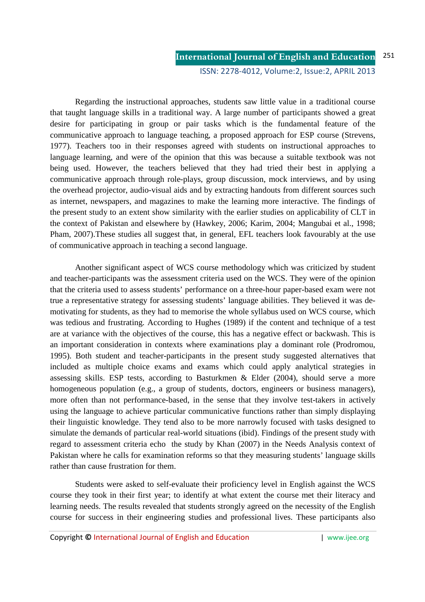Regarding the instructional approaches, students saw little value in a traditional course that taught language skills in a traditional way. A large number of participants showed a great desire for participating in group or pair tasks which is the fundamental feature of the communicative approach to language teaching, a proposed approach for ESP course (Strevens, 1977). Teachers too in their responses agreed with students on instructional approaches to language learning, and were of the opinion that this was because a suitable textbook was not being used. However, the teachers believed that they had tried their best in applying a communicative approach through role-plays, group discussion, mock interviews, and by using the overhead projector, audio-visual aids and by extracting handouts from different sources such as internet, newspapers, and magazines to make the learning more interactive. The findings of the present study to an extent show similarity with the earlier studies on applicability of CLT in the context of Pakistan and elsewhere by (Hawkey, 2006; Karim, 2004; Mangubai et al., 1998; Pham, 2007).These studies all suggest that, in general, EFL teachers look favourably at the use of communicative approach in teaching a second language.

 Another significant aspect of WCS course methodology which was criticized by student and teacher-participants was the assessment criteria used on the WCS. They were of the opinion that the criteria used to assess students' performance on a three-hour paper-based exam were not true a representative strategy for assessing students' language abilities. They believed it was demotivating for students, as they had to memorise the whole syllabus used on WCS course, which was tedious and frustrating. According to Hughes (1989) if the content and technique of a test are at variance with the objectives of the course, this has a negative effect or backwash. This is an important consideration in contexts where examinations play a dominant role (Prodromou, 1995). Both student and teacher-participants in the present study suggested alternatives that included as multiple choice exams and exams which could apply analytical strategies in assessing skills. ESP tests, according to Basturkmen & Elder (2004), should serve a more homogeneous population (e.g., a group of students, doctors, engineers or business managers), more often than not performance-based, in the sense that they involve test-takers in actively using the language to achieve particular communicative functions rather than simply displaying their linguistic knowledge. They tend also to be more narrowly focused with tasks designed to simulate the demands of particular real-world situations (ibid). Findings of the present study with regard to assessment criteria echo the study by Khan (2007) in the Needs Analysis context of Pakistan where he calls for examination reforms so that they measuring students' language skills rather than cause frustration for them.

Students were asked to self-evaluate their proficiency level in English against the WCS course they took in their first year; to identify at what extent the course met their literacy and learning needs. The results revealed that students strongly agreed on the necessity of the English course for success in their engineering studies and professional lives. These participants also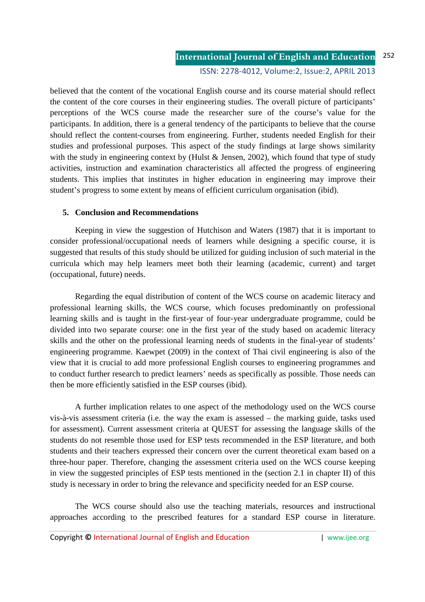believed that the content of the vocational English course and its course material should reflect the content of the core courses in their engineering studies. The overall picture of participants' perceptions of the WCS course made the researcher sure of the course's value for the participants. In addition, there is a general tendency of the participants to believe that the course should reflect the content-courses from engineering. Further, students needed English for their studies and professional purposes. This aspect of the study findings at large shows similarity with the study in engineering context by (Hulst & Jensen, 2002), which found that type of study activities, instruction and examination characteristics all affected the progress of engineering students. This implies that institutes in higher education in engineering may improve their student's progress to some extent by means of efficient curriculum organisation (ibid).

## **5. Conclusion and Recommendations**

Keeping in view the suggestion of Hutchison and Waters (1987) that it is important to consider professional/occupational needs of learners while designing a specific course, it is suggested that results of this study should be utilized for guiding inclusion of such material in the curricula which may help learners meet both their learning (academic, current) and target (occupational, future) needs.

Regarding the equal distribution of content of the WCS course on academic literacy and professional learning skills, the WCS course, which focuses predominantly on professional learning skills and is taught in the first-year of four-year undergraduate programme, could be divided into two separate course: one in the first year of the study based on academic literacy skills and the other on the professional learning needs of students in the final-year of students' engineering programme. Kaewpet (2009) in the context of Thai civil engineering is also of the view that it is crucial to add more professional English courses to engineering programmes and to conduct further research to predict learners' needs as specifically as possible. Those needs can then be more efficiently satisfied in the ESP courses (ibid).

A further implication relates to one aspect of the methodology used on the WCS course vis-à-vis assessment criteria (i.e. the way the exam is assessed – the marking guide, tasks used for assessment). Current assessment criteria at QUEST for assessing the language skills of the students do not resemble those used for ESP tests recommended in the ESP literature, and both students and their teachers expressed their concern over the current theoretical exam based on a three-hour paper. Therefore, changing the assessment criteria used on the WCS course keeping in view the suggested principles of ESP tests mentioned in the (section 2.1 in chapter II) of this study is necessary in order to bring the relevance and specificity needed for an ESP course.

The WCS course should also use the teaching materials, resources and instructional approaches according to the prescribed features for a standard ESP course in literature.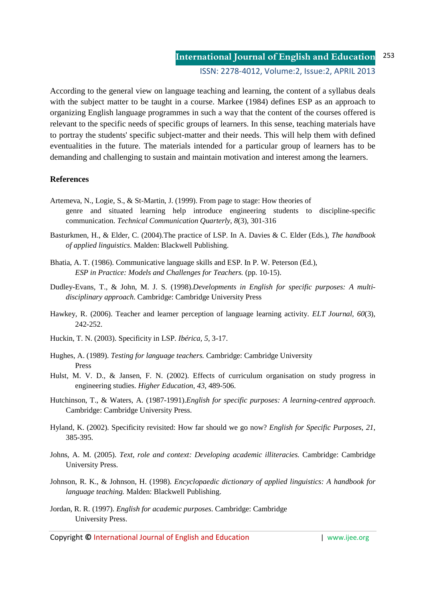**International Journal of English and Education** ISSN: 2278-4012, Volume:2, Issue:2, APRIL 2013 253

According to the general view on language teaching and learning, the content of a syllabus deals with the subject matter to be taught in a course. Markee (1984) defines ESP as an approach to organizing English language programmes in such a way that the content of the courses offered is relevant to the specific needs of specific groups of learners. In this sense, teaching materials have to portray the students' specific subject-matter and their needs. This will help them with defined eventualities in the future. The materials intended for a particular group of learners has to be demanding and challenging to sustain and maintain motivation and interest among the learners.

### **References**

- Artemeva, N., Logie, S., & St-Martin, J. (1999). From page to stage: How theories of genre and situated learning help introduce engineering students to discipline-specific communication. *Technical Communication Quarterly*, *8*(3), 301-316
- Basturkmen, H., & Elder, C. (2004).The practice of LSP. In A. Davies & C. Elder (Eds.), *The handbook of applied linguistics*. Malden: Blackwell Publishing.
- Bhatia, A. T. (1986). Communicative language skills and ESP. In P. W. Peterson (Ed.), *ESP in Practice: Models and Challenges for Teachers.* (pp. 10-15).
- Dudley-Evans, T., & John, M. J. S. (1998).*Developments in English for specific purposes: A multidisciplinary approach*. Cambridge: Cambridge University Press
- Hawkey, R. (2006). Teacher and learner perception of language learning activity. *ELT Journal, 60*(3), 242-252.
- Huckin, T. N. (2003). Specificity in LSP. *Ibérica, 5*, 3-17.
- Hughes, A. (1989). *Testing for language teachers.* Cambridge: Cambridge University Press
- Hulst, M. V. D., & Jansen, F. N. (2002). Effects of curriculum organisation on study progress in engineering studies. *Higher Education, 43*, 489-506.
- Hutchinson, T., & Waters, A. (1987-1991).*English for specific purposes: A learning-centred approach*. Cambridge: Cambridge University Press.
- Hyland, K. (2002). Specificity revisited: How far should we go now? *English for Specific Purposes, 21*, 385-395.
- Johns, A. M. (2005). *Text, role and context: Developing academic illiteracies.* Cambridge: Cambridge University Press.
- Johnson, R. K., & Johnson, H. (1998). *Encyclopaedic dictionary of applied linguistics: A handbook for language teaching.* Malden: Blackwell Publishing.
- Jordan, R. R. (1997). *English for academic purposes*. Cambridge: Cambridge University Press.

Copyright **©** International Journal of English and Education | www.ijee.org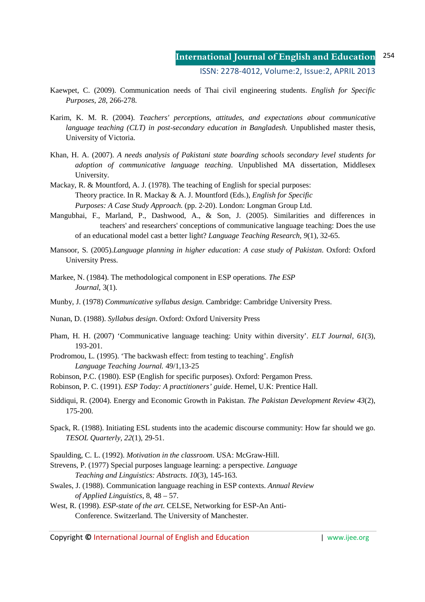- Kaewpet, C. (2009). Communication needs of Thai civil engineering students. *English for Specific Purposes, 28*, 266-278.
- Karim, K. M. R. (2004). *Teachers' perceptions, attitudes, and expectations about communicative language teaching (CLT) in post-secondary education in Bangladesh.* Unpublished master thesis, University of Victoria.
- Khan, H. A. (2007). *A needs analysis of Pakistani state boarding schools secondary level students for adoption of communicative language teaching*. Unpublished MA dissertation, Middlesex University.
- Mackay, R. & Mountford, A. J. (1978). The teaching of English for special purposes: Theory practice. In R. Mackay & A. J. Mountford (Eds.), *English for Specific Purposes: A Case Study Approach.* (pp. 2-20). London: Longman Group Ltd.
- Mangubhai, F., Marland, P., Dashwood, A., & Son, J. (2005). Similarities and differences in teachers' and researchers' conceptions of communicative language teaching: Does the use of an educational model cast a better light? *Language Teaching Research, 9*(1)*,* 32-65.
- Mansoor, S. (2005).*Language planning in higher education: A case study of Pakistan*. Oxford: Oxford University Press.
- Markee, N. (1984). The methodological component in ESP operations. *The ESP Journal*, 3(1).
- Munby, J. (1978) *Communicative syllabus design*. Cambridge: Cambridge University Press.
- Nunan, D. (1988). *Syllabus design*. Oxford: Oxford University Press
- Pham, H. H. (2007) 'Communicative language teaching: Unity within diversity'. *ELT Journal, 61*(3), 193-201.
- Prodromou, L. (1995). 'The backwash effect: from testing to teaching'. *English Language Teaching Journal.* 49/1,13-25
- Robinson, P.C. (1980). ESP (English for specific purposes). Oxford: Pergamon Press.
- Robinson, P. C. (1991). *ESP Today: A practitioners' guide*. Hemel, U.K: Prentice Hall.
- Siddiqui, R. (2004). Energy and Economic Growth in Pakistan. *The Pakistan Development Review 43*(2), 175-200.
- Spack, R. (1988). Initiating ESL students into the academic discourse community: How far should we go. *TESOL Quarterly, 22*(1), 29-51.
- Spaulding, C. L. (1992). *Motivation in the classroom*. USA: McGraw-Hill.
- Strevens, P. (1977) Special purposes language learning: a perspective. *Language Teaching and Linguistics: Abstracts*. *10*(3), 145-163.
- Swales, J. (1988). Communication language reaching in ESP contexts. *Annual Review of Applied Linguistics*, 8, 48 – 57.
- West, R. (1998). *ESP-state of the art*. CELSE, Networking for ESP-An Anti-Conference. Switzerland. The University of Manchester.

Copyright **©** International Journal of English and Education | www.ijee.org